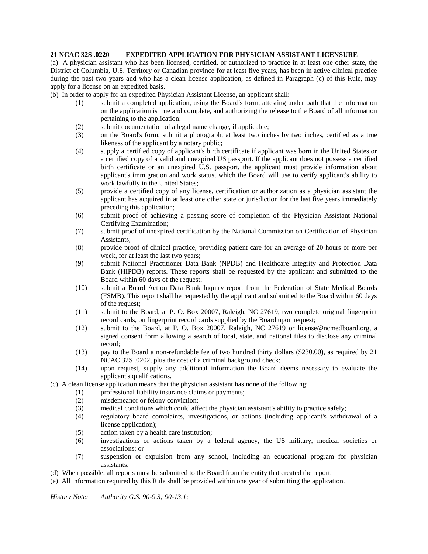## **21 NCAC 32S .0220 EXPEDITED APPLICATION FOR PHYSICIAN ASSISTANT LICENSURE**

(a) A physician assistant who has been licensed, certified, or authorized to practice in at least one other state, the District of Columbia, U.S. Territory or Canadian province for at least five years, has been in active clinical practice during the past two years and who has a clean license application, as defined in Paragraph (c) of this Rule, may apply for a license on an expedited basis.

(b) In order to apply for an expedited Physician Assistant License, an applicant shall:

- (1) submit a completed application, using the Board's form, attesting under oath that the information on the application is true and complete, and authorizing the release to the Board of all information pertaining to the application;
- (2) submit documentation of a legal name change, if applicable;
- (3) on the Board's form, submit a photograph, at least two inches by two inches, certified as a true likeness of the applicant by a notary public;
- (4) supply a certified copy of applicant's birth certificate if applicant was born in the United States or a certified copy of a valid and unexpired US passport. If the applicant does not possess a certified birth certificate or an unexpired U.S. passport, the applicant must provide information about applicant's immigration and work status, which the Board will use to verify applicant's ability to work lawfully in the United States;
- (5) provide a certified copy of any license, certification or authorization as a physician assistant the applicant has acquired in at least one other state or jurisdiction for the last five years immediately preceding this application;
- (6) submit proof of achieving a passing score of completion of the Physician Assistant National Certifying Examination;
- (7) submit proof of unexpired certification by the National Commission on Certification of Physician Assistants;
- (8) provide proof of clinical practice, providing patient care for an average of 20 hours or more per week, for at least the last two years;
- (9) submit National Practitioner Data Bank (NPDB) and Healthcare Integrity and Protection Data Bank (HIPDB) reports. These reports shall be requested by the applicant and submitted to the Board within 60 days of the request;
- (10) submit a Board Action Data Bank Inquiry report from the Federation of State Medical Boards (FSMB). This report shall be requested by the applicant and submitted to the Board within 60 days of the request;
- (11) submit to the Board, at P. O. Box 20007, Raleigh, NC 27619, two complete original fingerprint record cards, on fingerprint record cards supplied by the Board upon request;
- (12) submit to the Board, at P. O. Box 20007, Raleigh, NC 27619 or license@ncmedboard.org, a signed consent form allowing a search of local, state, and national files to disclose any criminal record;
- (13) pay to the Board a non-refundable fee of two hundred thirty dollars (\$230.00), as required by 21 NCAC 32S .0202, plus the cost of a criminal background check;
- (14) upon request, supply any additional information the Board deems necessary to evaluate the applicant's qualifications.
- (c) A clean license application means that the physician assistant has none of the following:
	- (1) professional liability insurance claims or payments;
	- (2) misdemeanor or felony conviction;
	- (3) medical conditions which could affect the physician assistant's ability to practice safely;
	- (4) regulatory board complaints, investigations, or actions (including applicant's withdrawal of a license application);
	- (5) action taken by a health care institution;
	- (6) investigations or actions taken by a federal agency, the US military, medical societies or associations; or
	- (7) suspension or expulsion from any school, including an educational program for physician assistants.
- (d) When possible, all reports must be submitted to the Board from the entity that created the report.
- (e) All information required by this Rule shall be provided within one year of submitting the application.

*History Note: Authority G.S. 90-9.3; 90-13.1;*